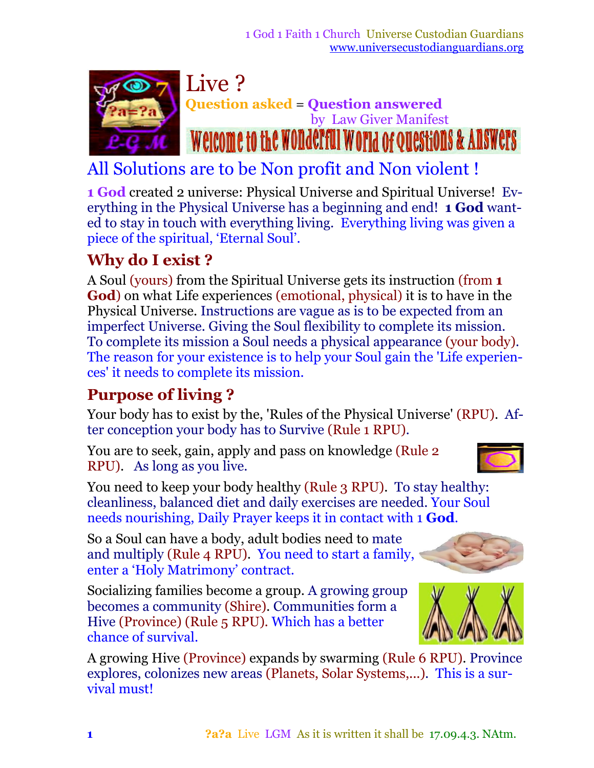

# All Solutions are to be Non profit and Non violent !

**1 God** created 2 universe: Physical Universe and Spiritual Universe! Everything in the Physical Universe has a beginning and end! **1 God** wanted to stay in touch with everything living. Everything living was given a piece of the spiritual, 'Eternal Soul'.

### **Why do I exist ?**

A Soul (yours) from the Spiritual Universe gets its instruction (from **1 God**) on what Life experiences (emotional, physical) it is to have in the Physical Universe. Instructions are vague as is to be expected from an imperfect Universe. Giving the Soul flexibility to complete its mission. To complete its mission a Soul needs a physical appearance (your body)*.* The reason for your existence is to help your Soul gain the 'Life experiences' it needs to complete its mission.

## **Purpose of living ?**

Your body has to exist by the, 'Rules of the Physical Universe' (RPU). After conception your body has to Survive (Rule 1 RPU)*.*

You are to seek, gain, apply and pass on knowledge (Rule 2 RPU). As long as you live.

You need to keep your body healthy (Rule 3 RPU). To stay healthy: cleanliness, balanced diet and daily exercises are needed. Your Soul needs nourishing, Daily Prayer keeps it in contact with 1 **God***.*

So a Soul can have a body, adult bodies need to mate and multiply (Rule 4 RPU)*.* You need to start a family, enter a 'Holy Matrimony' contract.

Socializing families become a group. A growing group becomes a community (Shire)*.* Communities form a Hive (Province) (Rule 5 RPU)*.* Which has a better chance of survival.

A growing Hive (Province) expands by swarming (Rule 6 RPU)*.* Province explores, colonizes new areas (Planets, Solar Systems,...)*.* This is a survival must!